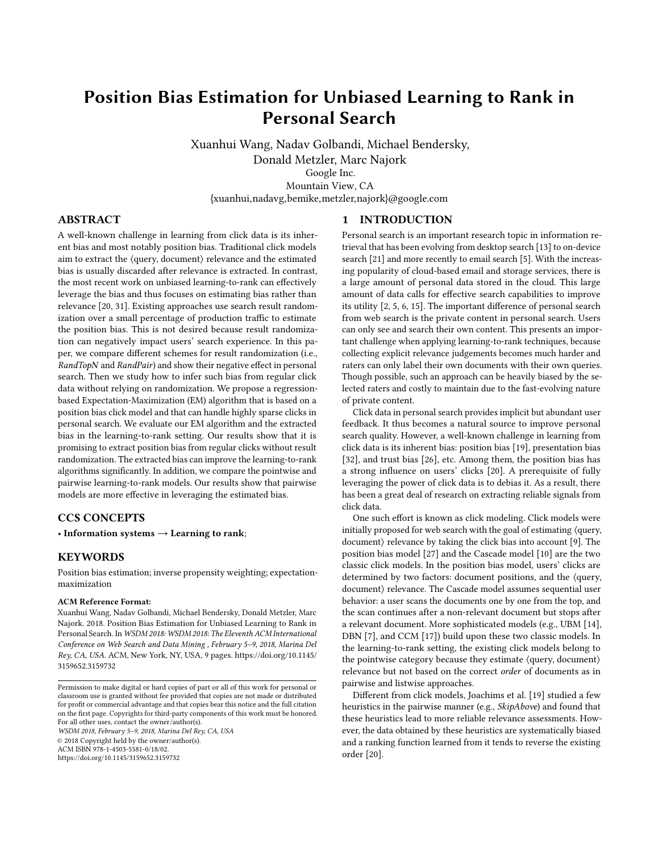# Position Bias Estimation for Unbiased Learning to Rank in Personal Search

Xuanhui Wang, Nadav Golbandi, Michael Bendersky, Donald Metzler, Marc Najork Google Inc. Mountain View, CA {xuanhui,nadavg,bemike,metzler,najork}@google.com

# ABSTRACT

A well-known challenge in learning from click data is its inherent bias and most notably position bias. Traditional click models aim to extract the ⟨query, document⟩ relevance and the estimated bias is usually discarded after relevance is extracted. In contrast, the most recent work on unbiased learning-to-rank can effectively leverage the bias and thus focuses on estimating bias rather than relevance [\[20,](#page-8-0) [31\]](#page-8-1). Existing approaches use search result randomization over a small percentage of production traffic to estimate the position bias. This is not desired because result randomization can negatively impact users' search experience. In this paper, we compare different schemes for result randomization (i.e., RandTopN and RandPair) and show their negative effect in personal search. Then we study how to infer such bias from regular click data without relying on randomization. We propose a regressionbased Expectation-Maximization (EM) algorithm that is based on a position bias click model and that can handle highly sparse clicks in personal search. We evaluate our EM algorithm and the extracted bias in the learning-to-rank setting. Our results show that it is promising to extract position bias from regular clicks without result randomization. The extracted bias can improve the learning-to-rank algorithms significantly. In addition, we compare the pointwise and pairwise learning-to-rank models. Our results show that pairwise models are more effective in leveraging the estimated bias.

## CCS CONCEPTS

• Information systems  $\rightarrow$  Learning to rank;

# **KEYWORDS**

Position bias estimation; inverse propensity weighting; expectationmaximization

#### ACM Reference Format:

Xuanhui Wang, Nadav Golbandi, Michael Bendersky, Donald Metzler, Marc Najork. 2018. Position Bias Estimation for Unbiased Learning to Rank in Personal Search. In WSDM 2018: WSDM 2018: The Eleventh ACM International Conference on Web Search and Data Mining , February 5–9, 2018, Marina Del Rey, CA, USA. ACM, New York, NY, USA, [9](#page-8-2) pages. [https://doi.org/10.1145/](https://doi.org/10.1145/3159652.3159732) [3159652.3159732](https://doi.org/10.1145/3159652.3159732)

WSDM 2018, February 5–9, 2018, Marina Del Rey, CA, USA

© 2018 Copyright held by the owner/author(s).

ACM ISBN 978-1-4503-5581-0/18/02.

<https://doi.org/10.1145/3159652.3159732>

## 1 INTRODUCTION

Personal search is an important research topic in information retrieval that has been evolving from desktop search [\[13\]](#page-8-3) to on-device search [\[21\]](#page-8-4) and more recently to email search [\[5\]](#page-8-5). With the increasing popularity of cloud-based email and storage services, there is a large amount of personal data stored in the cloud. This large amount of data calls for effective search capabilities to improve its utility [\[2,](#page-8-6) [5,](#page-8-5) [6,](#page-8-7) [15\]](#page-8-8). The important difference of personal search from web search is the private content in personal search. Users can only see and search their own content. This presents an important challenge when applying learning-to-rank techniques, because collecting explicit relevance judgements becomes much harder and raters can only label their own documents with their own queries. Though possible, such an approach can be heavily biased by the selected raters and costly to maintain due to the fast-evolving nature of private content.

Click data in personal search provides implicit but abundant user feedback. It thus becomes a natural source to improve personal search quality. However, a well-known challenge in learning from click data is its inherent bias: position bias [\[19\]](#page-8-9), presentation bias [\[32\]](#page-8-10), and trust bias [\[26\]](#page-8-11), etc. Among them, the position bias has a strong influence on users' clicks [\[20\]](#page-8-0). A prerequisite of fully leveraging the power of click data is to debias it. As a result, there has been a great deal of research on extracting reliable signals from click data.

One such effort is known as click modeling. Click models were initially proposed for web search with the goal of estimating ⟨query, document⟩ relevance by taking the click bias into account [\[9\]](#page-8-12). The position bias model [\[27\]](#page-8-13) and the Cascade model [\[10\]](#page-8-14) are the two classic click models. In the position bias model, users' clicks are determined by two factors: document positions, and the ⟨query, document⟩ relevance. The Cascade model assumes sequential user behavior: a user scans the documents one by one from the top, and the scan continues after a non-relevant document but stops after a relevant document. More sophisticated models (e.g., UBM [\[14\]](#page-8-15), DBN [\[7\]](#page-8-16), and CCM [\[17\]](#page-8-17)) build upon these two classic models. In the learning-to-rank setting, the existing click models belong to the pointwise category because they estimate ⟨query, document⟩ relevance but not based on the correct order of documents as in pairwise and listwise approaches.

Different from click models, Joachims et al. [\[19\]](#page-8-9) studied a few heuristics in the pairwise manner (e.g., SkipAbove) and found that these heuristics lead to more reliable relevance assessments. However, the data obtained by these heuristics are systematically biased and a ranking function learned from it tends to reverse the existing order [\[20\]](#page-8-0).

Permission to make digital or hard copies of part or all of this work for personal or classroom use is granted without fee provided that copies are not made or distributed for profit or commercial advantage and that copies bear this notice and the full citation on the first page. Copyrights for third-party components of this work must be honored. For all other uses, contact the owner/author(s).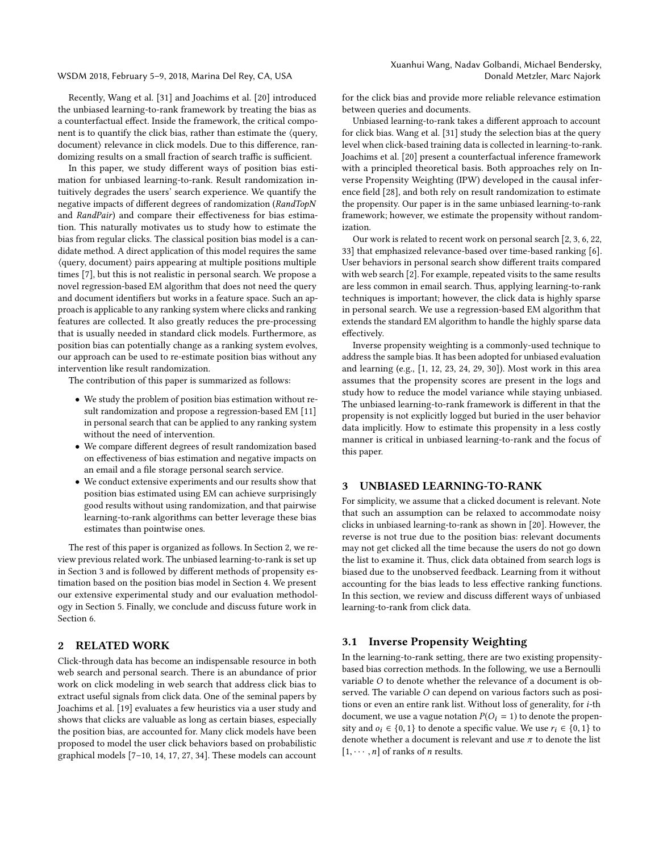WSDM 2018, February 5–9, 2018, Marina Del Rey, CA, USA

Recently, Wang et al. [\[31\]](#page-8-1) and Joachims et al. [\[20\]](#page-8-0) introduced the unbiased learning-to-rank framework by treating the bias as a counterfactual effect. Inside the framework, the critical component is to quantify the click bias, rather than estimate the ⟨query, document⟩ relevance in click models. Due to this difference, randomizing results on a small fraction of search traffic is sufficient.

In this paper, we study different ways of position bias estimation for unbiased learning-to-rank. Result randomization intuitively degrades the users' search experience. We quantify the negative impacts of different degrees of randomization (RandTopN and RandPair) and compare their effectiveness for bias estimation. This naturally motivates us to study how to estimate the bias from regular clicks. The classical position bias model is a candidate method. A direct application of this model requires the same ⟨query, document⟩ pairs appearing at multiple positions multiple times [\[7\]](#page-8-16), but this is not realistic in personal search. We propose a novel regression-based EM algorithm that does not need the query and document identifiers but works in a feature space. Such an approach is applicable to any ranking system where clicks and ranking features are collected. It also greatly reduces the pre-processing that is usually needed in standard click models. Furthermore, as position bias can potentially change as a ranking system evolves, our approach can be used to re-estimate position bias without any intervention like result randomization.

The contribution of this paper is summarized as follows:

- We study the problem of position bias estimation without result randomization and propose a regression-based EM [\[11\]](#page-8-18) in personal search that can be applied to any ranking system without the need of intervention.
- We compare different degrees of result randomization based on effectiveness of bias estimation and negative impacts on an email and a file storage personal search service.
- We conduct extensive experiments and our results show that position bias estimated using EM can achieve surprisingly good results without using randomization, and that pairwise learning-to-rank algorithms can better leverage these bias estimates than pointwise ones.

The rest of this paper is organized as follows. In Section [2,](#page-1-0) we review previous related work. The unbiased learning-to-rank is set up in Section [3](#page-1-1) and is followed by different methods of propensity estimation based on the position bias model in Section [4.](#page-2-0) We present our extensive experimental study and our evaluation methodology in Section [5.](#page-5-0) Finally, we conclude and discuss future work in Section [6.](#page-7-0)

# <span id="page-1-0"></span>2 RELATED WORK

Click-through data has become an indispensable resource in both web search and personal search. There is an abundance of prior work on click modeling in web search that address click bias to extract useful signals from click data. One of the seminal papers by Joachims et al. [\[19\]](#page-8-9) evaluates a few heuristics via a user study and shows that clicks are valuable as long as certain biases, especially the position bias, are accounted for. Many click models have been proposed to model the user click behaviors based on probabilistic graphical models [\[7](#page-8-16)[–10,](#page-8-14) [14,](#page-8-15) [17,](#page-8-17) [27,](#page-8-13) [34\]](#page-8-19). These models can account for the click bias and provide more reliable relevance estimation between queries and documents.

Unbiased learning-to-rank takes a different approach to account for click bias. Wang et al. [\[31\]](#page-8-1) study the selection bias at the query level when click-based training data is collected in learning-to-rank. Joachims et al. [\[20\]](#page-8-0) present a counterfactual inference framework with a principled theoretical basis. Both approaches rely on Inverse Propensity Weighting (IPW) developed in the causal inference field [\[28\]](#page-8-20), and both rely on result randomization to estimate the propensity. Our paper is in the same unbiased learning-to-rank framework; however, we estimate the propensity without randomization.

Our work is related to recent work on personal search [\[2,](#page-8-6) [3,](#page-8-21) [6,](#page-8-7) [22,](#page-8-22) [33\]](#page-8-23) that emphasized relevance-based over time-based ranking [\[6\]](#page-8-7). User behaviors in personal search show different traits compared with web search [\[2\]](#page-8-6). For example, repeated visits to the same results are less common in email search. Thus, applying learning-to-rank techniques is important; however, the click data is highly sparse in personal search. We use a regression-based EM algorithm that extends the standard EM algorithm to handle the highly sparse data effectively.

Inverse propensity weighting is a commonly-used technique to address the sample bias. It has been adopted for unbiased evaluation and learning (e.g., [\[1,](#page-8-24) [12,](#page-8-25) [23,](#page-8-26) [24,](#page-8-27) [29,](#page-8-28) [30\]](#page-8-29)). Most work in this area assumes that the propensity scores are present in the logs and study how to reduce the model variance while staying unbiased. The unbiased learning-to-rank framework is different in that the propensity is not explicitly logged but buried in the user behavior data implicitly. How to estimate this propensity in a less costly manner is critical in unbiased learning-to-rank and the focus of this paper.

## <span id="page-1-1"></span>3 UNBIASED LEARNING-TO-RANK

For simplicity, we assume that a clicked document is relevant. Note that such an assumption can be relaxed to accommodate noisy clicks in unbiased learning-to-rank as shown in [\[20\]](#page-8-0). However, the reverse is not true due to the position bias: relevant documents may not get clicked all the time because the users do not go down the list to examine it. Thus, click data obtained from search logs is biased due to the unobserved feedback. Learning from it without accounting for the bias leads to less effective ranking functions. In this section, we review and discuss different ways of unbiased learning-to-rank from click data.

## 3.1 Inverse Propensity Weighting

In the learning-to-rank setting, there are two existing propensitybased bias correction methods. In the following, we use a Bernoulli variable O to denote whether the relevance of a document is observed. The variable O can depend on various factors such as positions or even an entire rank list. Without loss of generality, for i-th document, we use a vague notation  $P(O_i = 1)$  to denote the propensity and  $o_i \in \{0, 1\}$  to denote a specific value. We use  $r_i \in \{0, 1\}$  to denote whether a document is relevant and use  $\pi$  to denote the list  $[1, \cdots, n]$  of ranks of *n* results.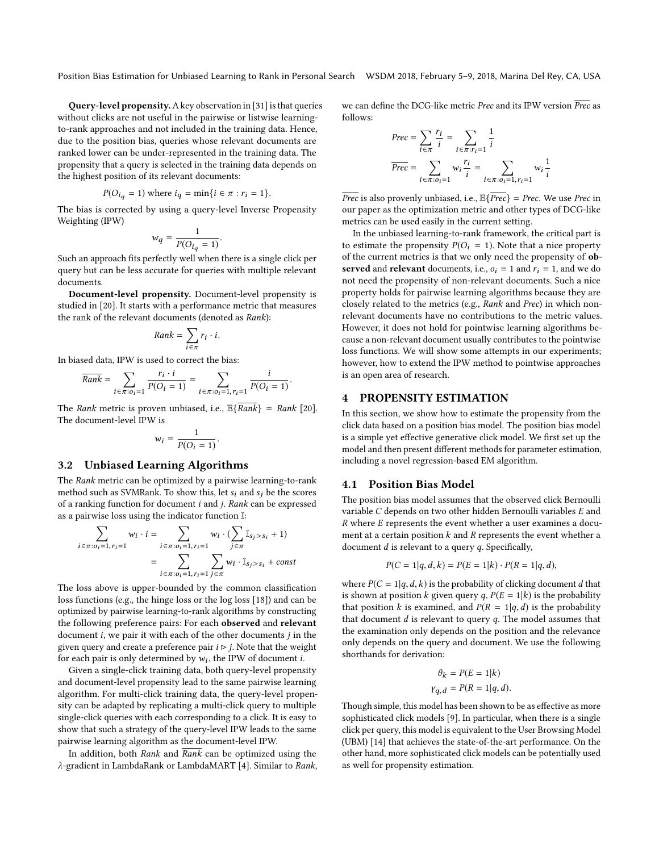Position Bias Estimation for Unbiased Learning to Rank in Personal Search WSDM 2018, February 5–9, 2018, Marina Del Rey, CA, USA

Query-level propensity.A key observation in [\[31\]](#page-8-1) is that queries without clicks are not useful in the pairwise or listwise learningto-rank approaches and not included in the training data. Hence, due to the position bias, queries whose relevant documents are ranked lower can be under-represented in the training data. The propensity that a query is selected in the training data depends on the highest position of its relevant documents:

$$
P(O_{i_q} = 1)
$$
 where  $i_q = \min\{i \in \pi : r_i = 1\}$ .

 $P(O_{i_q} = 1)$  where  $i_q = \min\{i \in \pi : r_i = 1\}$ .<br>The bias is corrected by using a query-level Inverse Propensity Weighting (IPW)

$$
w_q = \frac{1}{P(O_{i_q} = 1)}
$$

 $w_q = \frac{W}{P(O_{i_q} = 1)}.$ Such an approach fits perfectly well when there is a single click per query but can be less accurate for queries with multiple relevant documents.

Document-level propensity. Document-level propensity is studied in [\[20\]](#page-8-0). It starts with a performance metric that measures the rank of the relevant documents (denoted as Rank):

$$
Rank = \sum_{i \in \pi} r_i \cdot i.
$$

In biased data. IPW is used to correct the bias:<br>In biased data. IPW is used to correct the bias:

$$
\overline{Rank} = \sum_{i \in \pi: o_i=1} \frac{r_i \cdot i}{P(O_i=1)} = \sum_{i \in \pi: o_i=1, r_i=1} \frac{i}{P(O_i=1)}
$$

The Rank metric is proven unbiased, i.e.,  $\mathbb{E}\{\overline{Rank}\} = Rank$  [\[20\]](#page-8-0). The document-level IPW is

$$
w_i = \frac{1}{P(O_i = 1)}.
$$

#### 3.2 Unbiased Learning Algorithms

The Rank metric can be optimized by a pairwise learning-to-rank method such as SVMRank. To show this, let  $s_i$  and  $s_j$  be the scores of a ranking function for document i and j. Rank can be expressed as a pairwise loss using the indicator function I:

$$
\sum_{i \in \pi: o_i = 1, r_i = 1} w_i \cdot i = \sum_{i \in \pi: o_i = 1, r_i = 1} w_i \cdot (\sum_{j \in \pi} \mathbb{I}_{s_j > s_i} + 1)
$$
\n
$$
= \sum_{i \in \pi: o_i = 1, r_i = 1} \sum_{j \in \pi} w_i \cdot \mathbb{I}_{s_j > s_i} + const
$$

The loss above is upper-bounded by the common classification loss functions (e.g., the hinge loss or the log loss [\[18\]](#page-8-30)) and can be optimized by pairwise learning-to-rank algorithms by constructing the following preference pairs: For each observed and relevant document  $i$ , we pair it with each of the other documents  $j$  in the given query and create a preference pair  $i \triangleright j$ . Note that the weight for each pair is only determined by  $w_i$ , the IPW of document *i*.<br>Given a single-click training data, both query-level propens

Given a single-click training data, both query-level propensity and document-level propensity lead to the same pairwise learning algorithm. For multi-click training data, the query-level propensity can be adapted by replicating a multi-click query to multiple single-click queries with each corresponding to a click. It is easy to show that such a strategy of the query-level IPW leads to the same pairwise learning algorithm as the document-level IPW.

In addition, both Rank and  $\overline{Rank}$  can be optimized using the λ-gradient in LambdaRank or LambdaMART [\[4\]](#page-8-31). Similar to Rank, we can define the DCG-like metric *Prec* and its IPW version  $\overline{Prec}$  as follows:

$$
Prec = \sum_{i \in \pi} \frac{r_i}{i} = \sum_{i \in \pi: r_i = 1} \frac{1}{i}
$$

$$
Prec = \sum_{i \in \pi: o_i = 1} w_i \frac{r_i}{i} = \sum_{i \in \pi: o_i = 1, r_i = 1} w_i \frac{1}{i}
$$

 $\overline{Prec}$  is also provenly unbiased, i.e.,  $\mathbb{E}\{\overline{Prec}\} = \text{Prec}$ . We use Prec in our paper as the optimization metric and other types of DCG-like metrics can be used easily in the current setting.

In the unbiased learning-to-rank framework, the critical part is to estimate the propensity  $P(O_i = 1)$ . Note that a nice property of the current metrics is that we only need the propensity of observed and relevant documents, i.e.,  $o_i = 1$  and  $r_i = 1$ , and we do not need the propensity of non-relevant documents. Such a nice property holds for pairwise learning algorithms because they are closely related to the metrics (e.g., Rank and Prec) in which nonrelevant documents have no contributions to the metric values. However, it does not hold for pointwise learning algorithms because a non-relevant document usually contributes to the pointwise loss functions. We will show some attempts in our experiments; however, how to extend the IPW method to pointwise approaches is an open area of research.

## <span id="page-2-0"></span>4 PROPENSITY ESTIMATION

In this section, we show how to estimate the propensity from the click data based on a position bias model. The position bias model is a simple yet effective generative click model. We first set up the model and then present different methods for parameter estimation, including a novel regression-based EM algorithm.

# 4.1 Position Bias Model

The position bias model assumes that the observed click Bernoulli variable C depends on two other hidden Bernoulli variables E and R where E represents the event whether a user examines a document at a certain position  $k$  and  $R$  represents the event whether a document  $d$  is relevant to a query  $q$ . Specifically,

$$
P(C = 1|q, d, k) = P(E = 1|k) \cdot P(R = 1|q, d),
$$

where  $P(C = 1|q, d, k)$  is the probability of clicking document d that is shown at position k given query q,  $P(E = 1|k)$  is the probability that position k is examined, and  $P(R = 1|q, d)$  is the probability that document  $d$  is relevant to query  $q$ . The model assumes that the examination only depends on the position and the relevance only depends on the query and document. We use the following shorthands for derivation:

$$
\theta_k = P(E = 1|k)
$$
  

$$
\gamma_{q,d} = P(R = 1|q, d).
$$

Though simple, this model has been shown to be as effective as more sophisticated click models [\[9\]](#page-8-12). In particular, when there is a single click per query, this model is equivalent to the User Browsing Model (UBM) [\[14\]](#page-8-15) that achieves the state-of-the-art performance. On the other hand, more sophisticated click models can be potentially used as well for propensity estimation.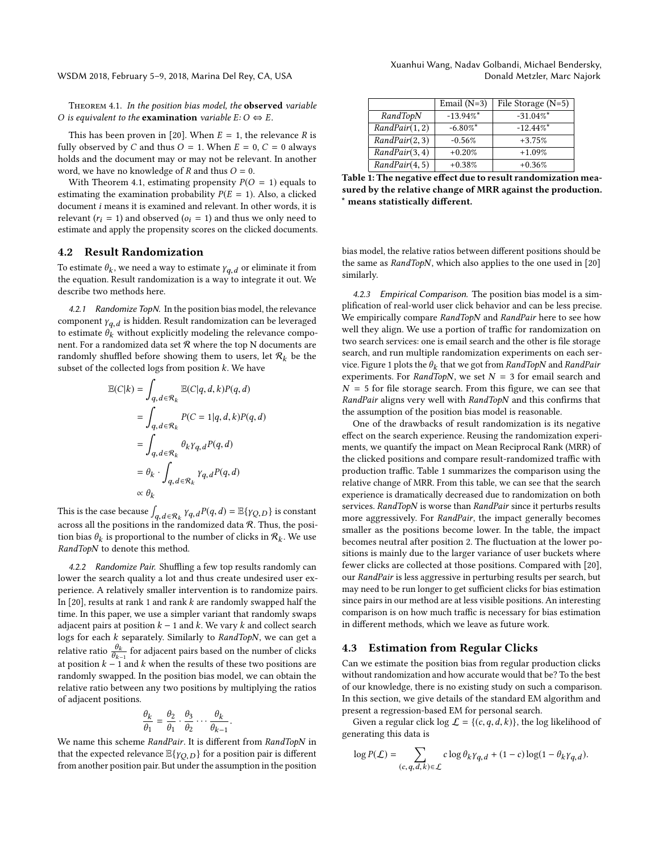WSDM 2018, February 5–9, 2018, Marina Del Rey, CA, USA

<span id="page-3-0"></span>Theorem 4.1. In the position bias model, the observed variable O is equivalent to the **examination** variable  $E: O \Leftrightarrow E$ .

This has been proven in [\[20\]](#page-8-0). When  $E = 1$ , the relevance R is fully observed by C and thus  $O = 1$ . When  $E = 0$ ,  $C = 0$  always holds and the document may or may not be relevant. In another word, we have no knowledge of  $R$  and thus  $O = 0$ .

With Theorem [4.1,](#page-3-0) estimating propensity  $P(O = 1)$  equals to estimating the examination probability  $P(E = 1)$ . Also, a clicked document i means it is examined and relevant. In other words, it is relevant ( $r_i = 1$ ) and observed ( $o_i = 1$ ) and thus we only need to estimate and apply the propensity scores on the clicked documents.

#### 4.2 Result Randomization

To estimate  $\theta_k$ , we need a way to estimate  $\gamma_{q,d}$  or eliminate it from the equation. Result randomization is a way to integrate it out. We the equation. Result randomization is a way to integrate it out. We describe two methods here.

4.2.1 Randomize TopN. In the position bias model, the relevance component  $\gamma_{q,d}$  is hidden. Result randomization can be leveraged<br>to estimate  $\theta$ , without evolicitly modeling the relevance compoto estimate  $\hat{\theta_k}$  without explicitly modeling the relevance component. For a randomized data set  $R$  where the top N documents are randomly shuffled before showing them to users, let  $\mathcal{R}_k$  be the subset of the collected logs from position k. We have subset of the collected logs from position  $k$ . We have

$$
\mathbb{E}(C|k) = \int_{q,d \in \mathcal{R}_k} \mathbb{E}(C|q,d,k)P(q,d)
$$
  
= 
$$
\int_{q,d \in \mathcal{R}_k} P(C = 1|q,d,k)P(q,d)
$$
  
= 
$$
\int_{q,d \in \mathcal{R}_k} \theta_k \gamma_{q,d} P(q,d)
$$
  
= 
$$
\theta_k \cdot \int_{q,d \in \mathcal{R}_k} \gamma_{q,d} P(q,d)
$$
  

$$
\propto \theta_k
$$

This is the case because  $\int_{q, d \in \mathcal{R}_k} Y_{q, d} P(q, d) = \mathbb{E}\{Y_{Q, D}\}$  is constant across all the positions in the randomized data  $\Re$ . Thus, the position across all the positions in the randomized data  $R$ . Thus, the position bias  $\theta_k$  is proportional to the number of clicks in  $\mathcal{R}_k$ . We use RandTopN to denote this method RandTopN to denote this method.

<span id="page-3-2"></span>4.2.2 Randomize Pair. Shuffling a few top results randomly can lower the search quality a lot and thus create undesired user experience. A relatively smaller intervention is to randomize pairs. In  $[20]$ , results at rank 1 and rank k are randomly swapped half the time. In this paper, we use a simpler variant that randomly swaps adjacent pairs at position  $k - 1$  and  $k$ . We vary  $k$  and collect search logs for each  $k$  separately. Similarly to  $RandomN$ , we can get a relative ratio  $\frac{\theta_k}{\theta_{k-1}}$  for adjacent pairs based on the number of clicks at position  $k - 1$  and k when the results of these two positions are<br>at position  $k - 1$  and k when the results of these two positions are randomly swapped. In the position bias model, we can obtain the relative ratio between any two positions by multiplying the ratios of adjacent positions.

$$
\frac{\theta_k}{\theta_1} = \frac{\theta_2}{\theta_1} \cdot \frac{\theta_3}{\theta_2} \cdots \frac{\theta_k}{\theta_{k-1}}
$$

 $θ_1$   $θ_1$   $θ_2$   $θ_{k-1}$ <br>We name this scheme *RandPair*. It is different from *RandTopN* in that the expected relevance  $\mathbb{E}\{\gamma_{O,D}\}$  for a position pair is different from another position pair. But under the assumption in the position

| Xuanhui Wang, Nadav Golbandi, Michael Bendersky, |                             |  |
|--------------------------------------------------|-----------------------------|--|
|                                                  | Donald Metzler, Marc Najork |  |

<span id="page-3-1"></span>

|              | Email $(N=3)$ | File Storage $(N=5)$ |
|--------------|---------------|----------------------|
| RandTopN     | $-13.94\%$ *  | $-31.04\%$ *         |
| Random(1, 2) | $-6.80\%$ *   | $-12.44\%$ *         |
| Random(2, 3) | $-0.56%$      | $+3.75%$             |
| Random(3, 4) | $+0.20%$      | $+1.09%$             |
| Random(4, 5) | $+0.38%$      | $+0.36%$             |

sured by the relative change of MRR against the production. \* means statistically different.

bias model, the relative ratios between different positions should be the same as RandTopN, which also applies to the one used in [\[20\]](#page-8-0) similarly.

4.2.3 Empirical Comparison. The position bias model is a simplification of real-world user click behavior and can be less precise. We empirically compare RandTopN and RandPair here to see how well they align. We use a portion of traffic for randomization on two search services: one is email search and the other is file storage search, and run multiple randomization experiments on each ser-vice. Figure [1](#page-4-0) plots the  $\theta_k$  that we got from RandTopN and RandPair experiments. For RandTopN, we set  $N = 3$  for email search and experiments. For RandTopN, we set  $N = 3$  for email search and  $N = 5$  for file storage search. From this figure, we can see that RandPair aligns very well with RandTopN and this confirms that the assumption of the position bias model is reasonable.

One of the drawbacks of result randomization is its negative effect on the search experience. Reusing the randomization experiments, we quantify the impact on Mean Reciprocal Rank (MRR) of the clicked positions and compare result-randomized traffic with production traffic. Table [1](#page-3-1) summarizes the comparison using the relative change of MRR. From this table, we can see that the search experience is dramatically decreased due to randomization on both services. RandTopN is worse than RandPair since it perturbs results more aggressively. For RandPair, the impact generally becomes smaller as the positions become lower. In the table, the impact becomes neutral after position 2. The fluctuation at the lower positions is mainly due to the larger variance of user buckets where fewer clicks are collected at those positions. Compared with [\[20\]](#page-8-0), our RandPair is less aggressive in perturbing results per search, but may need to be run longer to get sufficient clicks for bias estimation since pairs in our method are at less visible positions. An interesting comparison is on how much traffic is necessary for bias estimation in different methods, which we leave as future work.

#### 4.3 Estimation from Regular Clicks

Can we estimate the position bias from regular production clicks without randomization and how accurate would that be? To the best of our knowledge, there is no existing study on such a comparison. In this section, we give details of the standard EM algorithm and present a regression-based EM for personal search.

Given a regular click log  $\mathcal{L} = \{(c, q, d, k)\}\$ , the log likelihood of generating this data is

$$
\log P(\mathcal{L}) = \sum_{(c,q,d,k)\in \mathcal{L}} c \log \theta_k \gamma_{q,d} + (1-c) \log(1 - \theta_k \gamma_{q,d}).
$$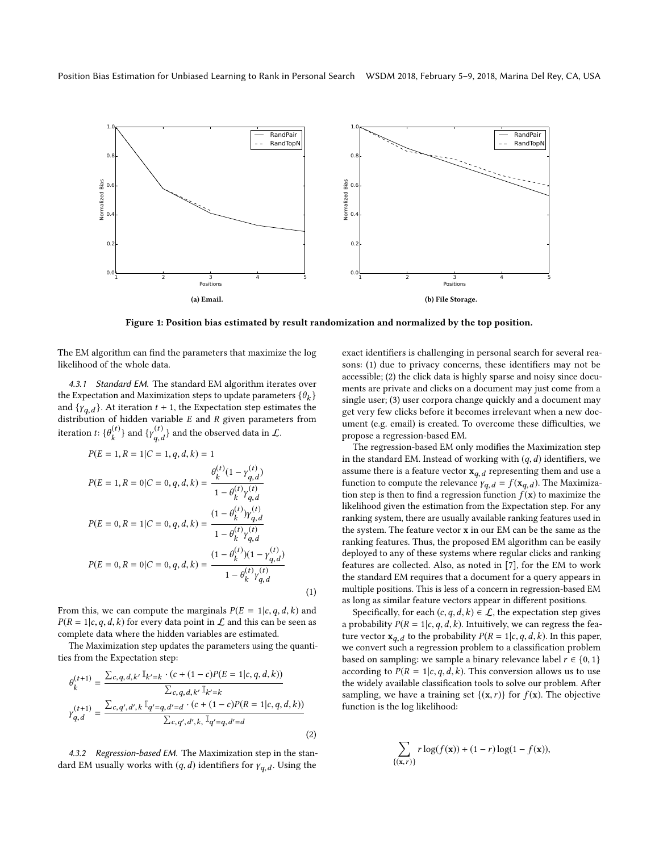<span id="page-4-0"></span>

Figure 1: Position bias estimated by result randomization and normalized by the top position.

<span id="page-4-1"></span>(1)

The EM algorithm can find the parameters that maximize the log likelihood of the whole data.

4.3.1 Standard EM. The standard EM algorithm iterates over the Expectation and Maximization steps to update parameters  $\{\theta_k\}$ <br>and  $\{v_{k+1}\}$ . At iteration  $t+1$ , the Expectation step estimates the and  $\{Y_{q,d}\}$ . At iteration  $t + 1$ , the Expectation step estimates the distribution of hidden variable  $F$  and  $R$  given parameters from distribution of hidden variable  $E$  and  $R$  given parameters from iteration t:  $\{\theta_k^{(t)}\}$  and  $\{\gamma_{q,d}^{(t)}\}$  and the observed data in  $\mathcal{L}$ .

 $\ddot{\phantom{a}}$ 

$$
P(E = 1, R = 1|C = 1, q, d, k) = 1
$$
  
\n
$$
P(E = 1, R = 0|C = 0, q, d, k) = \frac{\theta_k^{(t)}(1 - \gamma_{q, d}^{(t)})}{1 - \theta_k^{(t)} \gamma_{q, d}^{(t)}}
$$
  
\n
$$
P(E = 0, R = 1|C = 0, q, d, k) = \frac{(1 - \theta_k^{(t)})\gamma_{q, d}^{(t)}}{1 - \theta_k^{(t)} \gamma_{q, d}^{(t)}}
$$
  
\n
$$
P(E = 0, R = 0|C = 0, q, d, k) = \frac{(1 - \theta_k^{(t)})(1 - \gamma_{q, d}^{(t)})}{1 - \theta_k^{(t)} \gamma_{q, d}^{(t)}}
$$

From this, we can compute the marginals  $P(E = 1|c, q, d, k)$  and  $P(R = 1|c, q, d, k)$  for every data point in  $\mathcal L$  and this can be seen as complete data where the hidden variables are estimated.

The Maximization step updates the parameters using the quantities from the Expectation step:

$$
\theta_k^{(t+1)} = \frac{\sum_{c,q,d,k'} \mathbb{I}_{k'=k} \cdot (c + (1-c)P(E = 1|c, q, d, k))}{\sum_{c,q,d,k'} \mathbb{I}_{k'=k}}
$$
\n
$$
\gamma_{q,d}^{(t+1)} = \frac{\sum_{c,q',d',k} \mathbb{I}_{q'=q,d'=d} \cdot (c + (1-c)P(R = 1|c, q, d, k))}{\sum_{c,q',d',k,} \mathbb{I}_{q'=q,d'=d}}
$$
\n(2)

4.3.2 Regression-based EM. The Maximization step in the standard EM usually works with  $(q, d)$  identifiers for  $\gamma_{q, d}$ . Using the

exact identifiers is challenging in personal search for several reasons: (1) due to privacy concerns, these identifiers may not be accessible; (2) the click data is highly sparse and noisy since documents are private and clicks on a document may just come from a single user; (3) user corpora change quickly and a document may get very few clicks before it becomes irrelevant when a new document (e.g. email) is created. To overcome these difficulties, we propose a regression-based EM.

The regression-based EM only modifies the Maximization step in the standard EM. Instead of working with  $(q, d)$  identifiers, we assume there is a feature vector  $\mathbf{x}_{q,d}$  representing them and use a function to compute the relevance  $y = f(\mathbf{x}, \cdot)$ . The Maximizar function to compute the relevance  $\gamma_{q,d} = f(\mathbf{x}_{q,d})$ . The Maximization step is then to find a regression function  $f(\mathbf{x})$  to maximize the tion step is then to find a regression function  $f(\mathbf{x})$  to maximize the likelihood given the estimation from the Expectation step. For any ranking system, there are usually available ranking features used in the system. The feature vector x in our EM can be the same as the ranking features. Thus, the proposed EM algorithm can be easily deployed to any of these systems where regular clicks and ranking features are collected. Also, as noted in [\[7\]](#page-8-16), for the EM to work the standard EM requires that a document for a query appears in multiple positions. This is less of a concern in regression-based EM as long as similar feature vectors appear in different positions.

Specifically, for each  $(c, q, d, k) \in \mathcal{L}$ , the expectation step gives a probability  $P(R = 1 | c, q, d, k)$ . Intuitively, we can regress the feature vector  $\mathbf{x}_{q,d}$  to the probability  $P(R = 1|c, q, d, k)$ . In this paper, we convert such a regression problem to a classification problem based on sampling: we sample a binary relevance label  $r \in \{0, 1\}$ according to  $P(R = 1 | c, q, d, k)$ . This conversion allows us to use the widely available classification tools to solve our problem. After sampling, we have a training set  $\{(x, r)\}\$ for  $f(x)$ . The objective function is the log likelihood:

<span id="page-4-2"></span>
$$
\sum_{\{(x,r)\}} r \log(f(x)) + (1-r) \log(1-f(x)),
$$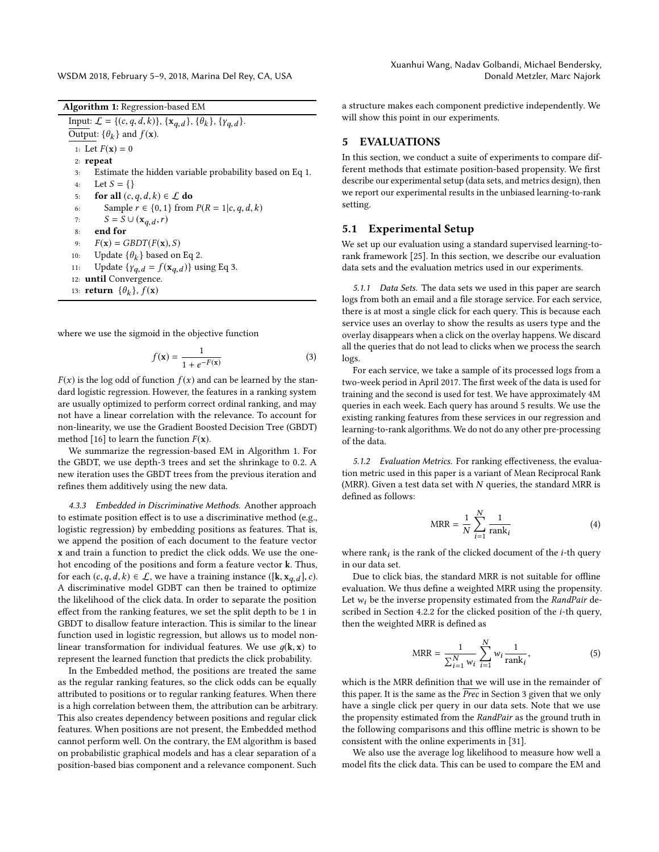WSDM 2018, February 5–9, 2018, Marina Del Rey, CA, USA

<span id="page-5-2"></span>Algorithm 1: Regression-based EM Input:  $\mathcal{L} = \{ (c, q, d, k) \}, \{ \mathbf{x}_{q,d} \}, \{ \theta_k \}, \{ \gamma_{q,d} \}.$ Output:  $\{\theta_k\}$  and  $f(\mathbf{x})$ . 1: Let  $F(x) = 0$ 2: repeat 3: Estimate the hidden variable probability based on Eq [1.](#page-4-1) 4: Let  $S = \{\}$ <br>5: **for all**  $(c,$ 5: **for all**  $(c, q, d, k) \in \mathcal{L}$  **do**<br>6: Sample  $r \in \{0, 1\}$  from 6: Sample  $r \in \{0, 1\}$  from  $P(R = 1|c, q, d, k)$ <br>7:  $S = S \cup (\mathbf{x}_p, d, r)$ 7:  $S = S \cup (\mathbf{x}_{q,d}, r)$ <br>8. end for 8: end for 9:  $F(\mathbf{x}) = GBDT(F(\mathbf{x}), S)$ <br>10: Update  $\{\theta_{\nu}\}\)$  based on 10: Update  $\{\theta_k\}$  based on Eq [2.](#page-4-2) 11: Update  $\{ \gamma_{q,d} = f(\mathbf{x}_{q,d}) \}$  using Eq [3.](#page-5-1) 12: until Convergence. 13: **return**  $\{\theta_k\}$ ,  $f(\mathbf{x})$ 

where we use the sigmoid in the objective function

<span id="page-5-1"></span>
$$
f(\mathbf{x}) = \frac{1}{1 + e^{-F(\mathbf{x})}}
$$
(3)

 $F(x)$  is the log odd of function  $f(x)$  and can be learned by the stan-<br>dard logistic regression. However, the features in a rapking system dard logistic regression. However, the features in a ranking system are usually optimized to perform correct ordinal ranking, and may not have a linear correlation with the relevance. To account for non-linearity, we use the Gradient Boosted Decision Tree (GBDT) method [\[16\]](#page-8-32) to learn the function  $F(\mathbf{x})$ .

We summarize the regression-based EM in Algorithm [1.](#page-5-2) For the GBDT, we use depth-3 trees and set the shrinkage to <sup>0</sup>.2. A new iteration uses the GBDT trees from the previous iteration and refines them additively using the new data.

4.3.3 Embedded in Discriminative Methods. Another approach to estimate position effect is to use a discriminative method (e.g., logistic regression) by embedding positions as features. That is, we append the position of each document to the feature vector x and train a function to predict the click odds. We use the onehot encoding of the positions and form a feature vector k. Thus, for each  $(c, q, d, k) \in \mathcal{L}$ , we have a training instance ([k,  $\mathbf{x}_{q,d}$ ], c). A discriminative model GDBT can then be trained to optimize the likelihood of the click data. In order to separate the position effect from the ranking features, we set the split depth to be 1 in GBDT to disallow feature interaction. This is similar to the linear function used in logistic regression, but allows us to model nonlinear transformation for individual features. We use  $q(\mathbf{k}, \mathbf{x})$  to represent the learned function that predicts the click probability.

In the Embedded method, the positions are treated the same as the regular ranking features, so the click odds can be equally attributed to positions or to regular ranking features. When there is a high correlation between them, the attribution can be arbitrary. This also creates dependency between positions and regular click features. When positions are not present, the Embedded method cannot perform well. On the contrary, the EM algorithm is based on probabilistic graphical models and has a clear separation of a position-based bias component and a relevance component. Such

a structure makes each component predictive independently. We will show this point in our experiments.

# <span id="page-5-0"></span>5 EVALUATIONS

In this section, we conduct a suite of experiments to compare different methods that estimate position-based propensity. We first describe our experimental setup (data sets, and metrics design), then we report our experimental results in the unbiased learning-to-rank setting.

## 5.1 Experimental Setup

We set up our evaluation using a standard supervised learning-torank framework [\[25\]](#page-8-33). In this section, we describe our evaluation data sets and the evaluation metrics used in our experiments.

5.1.1 Data Sets. The data sets we used in this paper are search logs from both an email and a file storage service. For each service, there is at most a single click for each query. This is because each service uses an overlay to show the results as users type and the overlay disappears when a click on the overlay happens. We discard all the queries that do not lead to clicks when we process the search logs.

For each service, we take a sample of its processed logs from a two-week period in April 2017. The first week of the data is used for training and the second is used for test. We have approximately 4M queries in each week. Each query has around 5 results. We use the existing ranking features from these services in our regression and learning-to-rank algorithms. We do not do any other pre-processing of the data.

5.1.2 Evaluation Metrics. For ranking effectiveness, the evaluation metric used in this paper is a variant of Mean Reciprocal Rank (MRR). Given a test data set with  $N$  queries, the standard MRR is defined as follows:

$$
MRR = \frac{1}{N} \sum_{i=1}^{N} \frac{1}{\text{rank}_i}
$$
 (4)

where rank<sub>i</sub> is the rank of the clicked document of the *i*-th query in our data set i in our data set.

Due to click bias, the standard MRR is not suitable for offline evaluation. We thus define a weighted MRR using the propensity. Let  $w_i$  be the inverse propensity estimated from the RandPair described in Section [4.2.2](#page-3-2) for the clicked position of the i-th query, then the weighted MRR is defined as

$$
MRR = \frac{1}{\sum_{i=1}^{N} w_i} \sum_{i=1}^{N} w_i \frac{1}{\text{rank}_i},
$$
 (5)

which is the MRR definition that we will use in the remainder of this paper. It is the same as the  $\overline{Prec}$  in Section [3](#page-1-1) given that we only have a single click per query in our data sets. Note that we use the propensity estimated from the RandPair as the ground truth in the following comparisons and this offline metric is shown to be consistent with the online experiments in [\[31\]](#page-8-1).

We also use the average log likelihood to measure how well a model fits the click data. This can be used to compare the EM and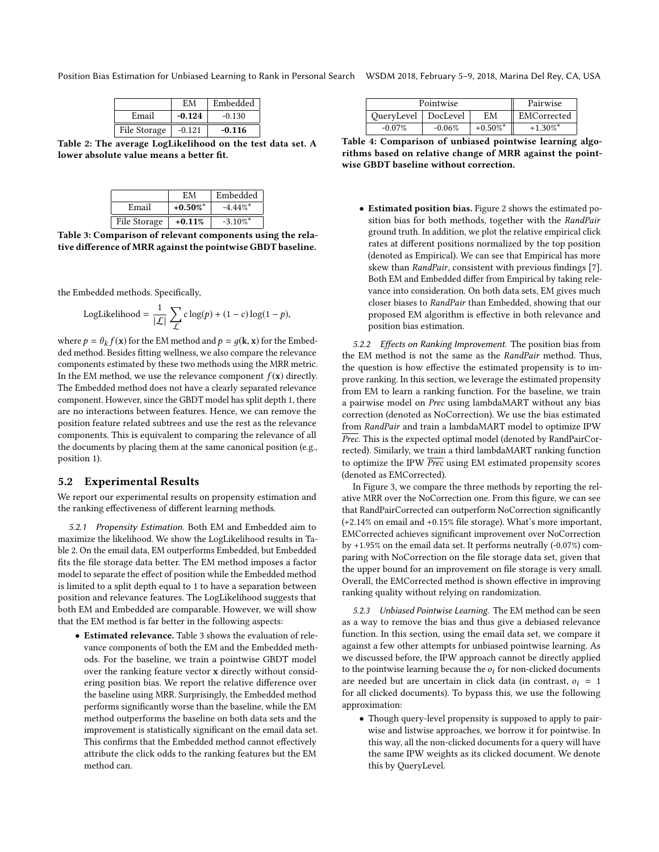<span id="page-6-0"></span>Position Bias Estimation for Unbiased Learning to Rank in Personal Search WSDM 2018, February 5–9, 2018, Marina Del Rey, CA, USA

|              | ЕM       | Embedded |
|--------------|----------|----------|
| Email        | $-0.124$ | $-0.130$ |
| File Storage | $-0.121$ | $-0.116$ |

<span id="page-6-1"></span>Table 2: The average LogLikelihood on the test data set. A lower absolute value means a better fit.

|              | FМ          | Embedded    |
|--------------|-------------|-------------|
| Email        | $+0.50\%$ * | $-4.44\%$ * |
| File Storage | $+0.11%$    | $-3.10\%$ * |

Table 3: Comparison of relevant components using the relative difference of MRR against the pointwise GBDT baseline.

the Embedded methods. Specifically,

LogLikelihood = 
$$
\frac{1}{|\mathcal{L}|} \sum_{\mathcal{L}} c \log(p) + (1 - c) \log(1 - p),
$$

where  $p = \theta_k f(\mathbf{x})$  for the EM method and  $p = g(\mathbf{k}, \mathbf{x})$  for the Embed-<br>ded method. Besides fitting wellness, we also compare the relevance ded method. Besides fitting wellness, we also compare the relevance components estimated by these two methods using the MRR metric. In the EM method, we use the relevance component  $f(\mathbf{x})$  directly. The Embedded method does not have a clearly separated relevance component. However, since the GBDT model has split depth 1, there are no interactions between features. Hence, we can remove the position feature related subtrees and use the rest as the relevance components. This is equivalent to comparing the relevance of all the documents by placing them at the same canonical position (e.g., position 1).

#### 5.2 Experimental Results

We report our experimental results on propensity estimation and the ranking effectiveness of different learning methods.

5.2.1 Propensity Estimation. Both EM and Embedded aim to maximize the likelihood. We show the LogLikelihood results in Table [2.](#page-6-0) On the email data, EM outperforms Embedded, but Embedded fits the file storage data better. The EM method imposes a factor model to separate the effect of position while the Embedded method is limited to a split depth equal to 1 to have a separation between position and relevance features. The LogLikelihood suggests that both EM and Embedded are comparable. However, we will show that the EM method is far better in the following aspects:

• Estimated relevance. Table [3](#page-6-1) shows the evaluation of relevance components of both the EM and the Embedded methods. For the baseline, we train a pointwise GBDT model over the ranking feature vector x directly without considering position bias. We report the relative difference over the baseline using MRR. Surprisingly, the Embedded method performs significantly worse than the baseline, while the EM method outperforms the baseline on both data sets and the improvement is statistically significant on the email data set. This confirms that the Embedded method cannot effectively attribute the click odds to the ranking features but the EM method can.

<span id="page-6-2"></span>

| Pointwise             |          |                        | Pairwise               |
|-----------------------|----------|------------------------|------------------------|
| OueryLevel   DocLevel |          | ЕM                     | EMCorrected            |
| $-0.07\%$             | $-0.06%$ | $+0.50\%$ <sup>*</sup> | $+1.30\%$ <sup>*</sup> |

Table 4: Comparison of unbiased pointwise learning algorithms based on relative change of MRR against the pointwise GBDT baseline without correction.

• Estimated position bias. Figure [2](#page-7-1) shows the estimated position bias for both methods, together with the RandPair ground truth. In addition, we plot the relative empirical click rates at different positions normalized by the top position (denoted as Empirical). We can see that Empirical has more skew than RandPair, consistent with previous findings [\[7\]](#page-8-16). Both EM and Embedded differ from Empirical by taking relevance into consideration. On both data sets, EM gives much closer biases to RandPair than Embedded, showing that our proposed EM algorithm is effective in both relevance and position bias estimation.

5.2.2 Effects on Ranking Improvement. The position bias from the EM method is not the same as the RandPair method. Thus, the question is how effective the estimated propensity is to improve ranking. In this section, we leverage the estimated propensity from EM to learn a ranking function. For the baseline, we train a pairwise model on Prec using lambdaMART without any bias correction (denoted as NoCorrection). We use the bias estimated from RandPair and train a lambdaMART model to optimize IPW  $\overline{Prec}$ . This is the expected optimal model (denoted by RandPairCorrected). Similarly, we train a third lambdaMART ranking function to optimize the IPW  $\overline{Prec}$  using EM estimated propensity scores (denoted as EMCorrected).

In Figure [3,](#page-7-2) we compare the three methods by reporting the relative MRR over the NoCorrection one. From this figure, we can see that RandPairCorrected can outperform NoCorrection significantly (+2.14% on email and +0.15% file storage). What's more important, EMCorrected achieves significant improvement over NoCorrection by +1.95% on the email data set. It performs neutrally (-0.07%) comparing with NoCorrection on the file storage data set, given that the upper bound for an improvement on file storage is very small. Overall, the EMCorrected method is shown effective in improving ranking quality without relying on randomization.

5.2.3 Unbiased Pointwise Learning. The EM method can be seen as a way to remove the bias and thus give a debiased relevance function. In this section, using the email data set, we compare it against a few other attempts for unbiased pointwise learning. As we discussed before, the IPW approach cannot be directly applied to the pointwise learning because the  $o_i$  for non-clicked documents are needed but are uncertain in click data (in contrast,  $o_i = 1$ for all clicked documents). To bypass this, we use the following approximation:

• Though query-level propensity is supposed to apply to pairwise and listwise approaches, we borrow it for pointwise. In this way, all the non-clicked documents for a query will have the same IPW weights as its clicked document. We denote this by QueryLevel.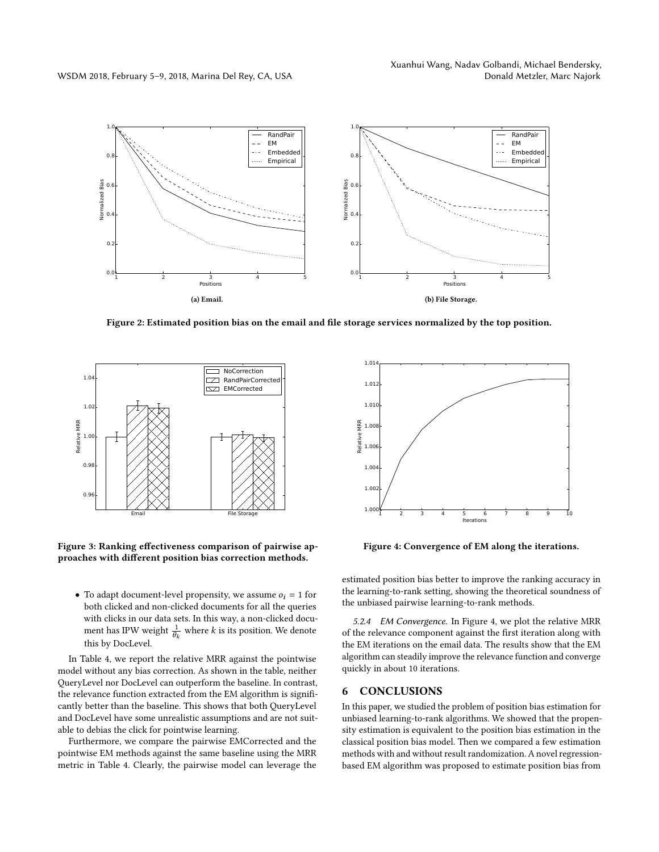<span id="page-7-1"></span>

Figure 2: Estimated position bias on the email and file storage services normalized by the top position.

<span id="page-7-2"></span>

Figure 3: Ranking effectiveness comparison of pairwise approaches with different position bias correction methods.

• To adapt document-level propensity, we assume  $o_i = 1$  for both clicked and non-clicked documents for all the queries with clicks in our data sets. In this way, a non-clicked document has IPW weight  $\frac{1}{2}$  $\frac{1}{\theta_k}$  where *k* is its position. We denote this by DocLevel.

In Table [4,](#page-6-2) we report the relative MRR against the pointwise model without any bias correction. As shown in the table, neither QueryLevel nor DocLevel can outperform the baseline. In contrast, the relevance function extracted from the EM algorithm is significantly better than the baseline. This shows that both QueryLevel and DocLevel have some unrealistic assumptions and are not suitable to debias the click for pointwise learning.

Furthermore, we compare the pairwise EMCorrected and the pointwise EM methods against the same baseline using the MRR metric in Table [4.](#page-6-2) Clearly, the pairwise model can leverage the

<span id="page-7-3"></span>

Figure 4: Convergence of EM along the iterations.

estimated position bias better to improve the ranking accuracy in the learning-to-rank setting, showing the theoretical soundness of the unbiased pairwise learning-to-rank methods.

5.2.4 EM Convergence. In Figure [4,](#page-7-3) we plot the relative MRR of the relevance component against the first iteration along with the EM iterations on the email data. The results show that the EM algorithm can steadily improve the relevance function and converge quickly in about 10 iterations.

## <span id="page-7-0"></span>6 CONCLUSIONS

In this paper, we studied the problem of position bias estimation for unbiased learning-to-rank algorithms. We showed that the propensity estimation is equivalent to the position bias estimation in the classical position bias model. Then we compared a few estimation methods with and without result randomization. A novel regressionbased EM algorithm was proposed to estimate position bias from